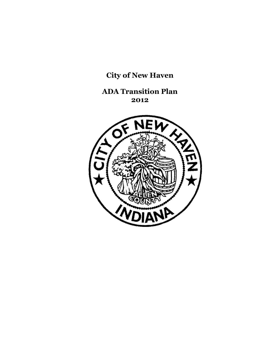# **City of New Haven**

**ADA Transition Plan 2012**

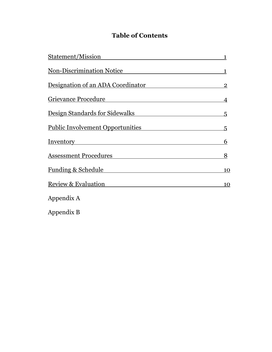# **Table of Contents**

| Statement/Mission                       | $\mathbf 1$    |
|-----------------------------------------|----------------|
| <b>Non-Discrimination Notice</b>        | $\mathbf 1$    |
| Designation of an ADA Coordinator       | $\overline{2}$ |
| Grievance Procedure                     | $\overline{4}$ |
| Design Standards for Sidewalks          | 5              |
| <b>Public Involvement Opportunities</b> | 5              |
| <b>Inventory</b>                        | 6              |
| <b>Assessment Procedures</b>            | 8              |
| <b>Funding &amp; Schedule</b>           | 10             |
| <b>Review &amp; Evaluation</b>          | 10             |
| Appendix A                              |                |
| Appendix B                              |                |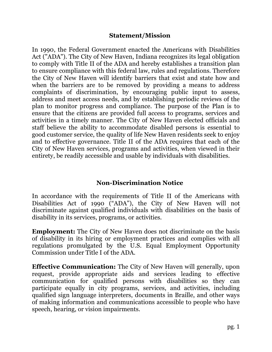#### **Statement/Mission**

In 1990, the Federal Government enacted the Americans with Disabilities Act ("ADA"). The City of New Haven, Indiana recognizes its legal obligation to comply with Title II of the ADA and hereby establishes a transition plan to ensure compliance with this federal law, rules and regulations. Therefore the City of New Haven will identify barriers that exist and state how and when the barriers are to be removed by providing a means to address complaints of discrimination, by encouraging public input to assess, address and meet access needs, and by establishing periodic reviews of the plan to monitor progress and compliance. The purpose of the Plan is to ensure that the citizens are provided full access to programs, services and activities in a timely manner. The City of New Haven elected officials and staff believe the ability to accommodate disabled persons is essential to good customer service, the quality of life New Haven residents seek to enjoy and to effective governance. Title II of the ADA requires that each of the City of New Haven services, programs and activities, when viewed in their entirety, be readily accessible and usable by individuals with disabilities.

# **Non-Discrimination Notice**

In accordance with the requirements of Title II of the Americans with Disabilities Act of 1990 ("ADA"), the City of New Haven will not discriminate against qualified individuals with disabilities on the basis of disability in its services, programs, or activities.

**Employment:** The City of New Haven does not discriminate on the basis of disability in its hiring or employment practices and complies with all regulations promulgated by the U.S. Equal Employment Opportunity Commission under Title I of the ADA.

**Effective Communication:** The City of New Haven will generally, upon request, provide appropriate aids and services leading to effective communication for qualified persons with disabilities so they can participate equally in city programs, services, and activities, including qualified sign language interpreters, documents in Braille, and other ways of making information and communications accessible to people who have speech, hearing, or vision impairments.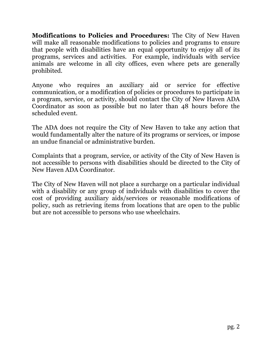**Modifications to Policies and Procedures:** The City of New Haven will make all reasonable modifications to policies and programs to ensure that people with disabilities have an equal opportunity to enjoy all of its programs, services and activities. For example, individuals with service animals are welcome in all city offices, even where pets are generally prohibited.

Anyone who requires an auxiliary aid or service for effective communication, or a modification of policies or procedures to participate in a program, service, or activity, should contact the City of New Haven ADA Coordinator as soon as possible but no later than 48 hours before the scheduled event.

The ADA does not require the City of New Haven to take any action that would fundamentally alter the nature of its programs or services, or impose an undue financial or administrative burden.

Complaints that a program, service, or activity of the City of New Haven is not accessible to persons with disabilities should be directed to the City of New Haven ADA Coordinator.

The City of New Haven will not place a surcharge on a particular individual with a disability or any group of individuals with disabilities to cover the cost of providing auxiliary aids/services or reasonable modifications of policy, such as retrieving items from locations that are open to the public but are not accessible to persons who use wheelchairs.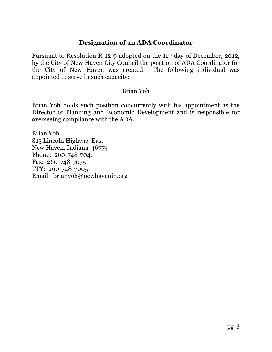# **Designation of an ADA Coordinator**

Pursuant to Resolution R-12-9 adopted on the 11th day of December, 2012, by the City of New Haven City Council the position of ADA Coordinator for the City of New Haven was created. The following individual was appointed to serve in such capacity:

#### Brian Yoh

Brian Yoh holds such position concurrently with his appointment as the Director of Planning and Economic Development and is responsible for overseeing compliance with the ADA.

Brian Yoh 815 Lincoln Highway East New Haven, Indiana 46774 Phone: 260-748-7041 Fax: 260-748-7075 TTY: 260-748-7005 Email: brianyoh@newhavenin.org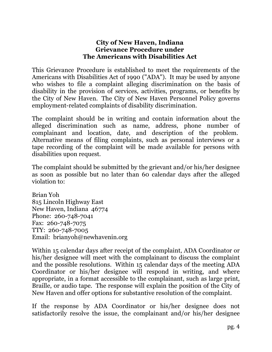#### **City of New Haven, Indiana Grievance Procedure under The Americans with Disabilities Act**

This Grievance Procedure is established to meet the requirements of the Americans with Disabilities Act of 1990 ("ADA"). It may be used by anyone who wishes to file a complaint alleging discrimination on the basis of disability in the provision of services, activities, programs, or benefits by the City of New Haven. The City of New Haven Personnel Policy governs employment-related complaints of disability discrimination.

The complaint should be in writing and contain information about the alleged discrimination such as name, address, phone number of complainant and location, date, and description of the problem. Alternative means of filing complaints, such as personal interviews or a tape recording of the complaint will be made available for persons with disabilities upon request.

The complaint should be submitted by the grievant and/or his/her designee as soon as possible but no later than 60 calendar days after the alleged violation to:

Brian Yoh 815 Lincoln Highway East New Haven, Indiana 46774 Phone: 260-748-7041 Fax: 260-748-7075 TTY: 260-748-7005 Email: brianyoh@newhavenin.org

Within 15 calendar days after receipt of the complaint, ADA Coordinator or his/her designee will meet with the complainant to discuss the complaint and the possible resolutions. Within 15 calendar days of the meeting ADA Coordinator or his/her designee will respond in writing, and where appropriate, in a format accessible to the complainant, such as large print, Braille, or audio tape. The response will explain the position of the City of New Haven and offer options for substantive resolution of the complaint.

If the response by ADA Coordinator or his/her designee does not satisfactorily resolve the issue, the complainant and/or his/her designee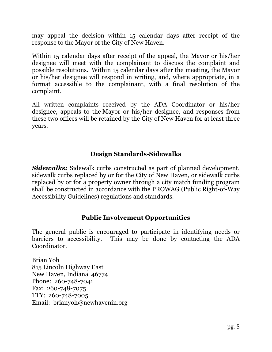may appeal the decision within 15 calendar days after receipt of the response to the Mayor of the City of New Haven.

Within 15 calendar days after receipt of the appeal, the Mayor or his/her designee will meet with the complainant to discuss the complaint and possible resolutions. Within 15 calendar days after the meeting, the Mayor or his/her designee will respond in writing, and, where appropriate, in a format accessible to the complainant, with a final resolution of the complaint.

All written complaints received by the ADA Coordinator or his/her designee, appeals to the Mayor or his/her designee, and responses from these two offices will be retained by the City of New Haven for at least three years.

# **Design Standards-Sidewalks**

*Sidewalks:* Sidewalk curbs constructed as part of planned development, sidewalk curbs replaced by or for the City of New Haven, or sidewalk curbs replaced by or for a property owner through a city match funding program shall be constructed in accordance with the PROWAG (Public Right-of-Way Accessibility Guidelines) regulations and standards.

# **Public Involvement Opportunities**

The general public is encouraged to participate in identifying needs or barriers to accessibility. This may be done by contacting the ADA Coordinator.

Brian Yoh 815 Lincoln Highway East New Haven, Indiana 46774 Phone: 260-748-7041 Fax: 260-748-7075 TTY: 260-748-7005 Email: brianyoh@newhavenin.org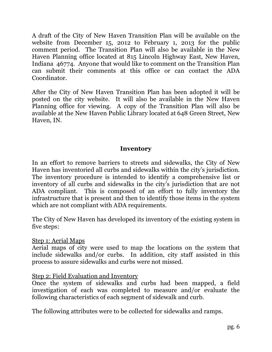A draft of the City of New Haven Transition Plan will be available on the website from December 15, 2012 to February 1, 2013 for the public comment period. The Transition Plan will also be available in the New Haven Planning office located at 815 Lincoln Highway East, New Haven, Indiana 46774. Anyone that would like to comment on the Transition Plan can submit their comments at this office or can contact the ADA Coordinator.

After the City of New Haven Transition Plan has been adopted it will be posted on the city website. It will also be available in the New Haven Planning office for viewing. A copy of the Transition Plan will also be available at the New Haven Public Library located at 648 Green Street, New Haven, IN.

#### **Inventory**

In an effort to remove barriers to streets and sidewalks, the City of New Haven has inventoried all curbs and sidewalks within the city's jurisdiction. The inventory procedure is intended to identify a comprehensive list or inventory of all curbs and sidewalks in the city's jurisdiction that are not ADA compliant. This is composed of an effort to fully inventory the infrastructure that is present and then to identify those items in the system which are not compliant with ADA requirements.

The City of New Haven has developed its inventory of the existing system in five steps:

Step 1: Aerial Maps

Aerial maps of city were used to map the locations on the system that include sidewalks and/or curbs. In addition, city staff assisted in this process to assure sidewalks and curbs were not missed.

#### Step 2: Field Evaluation and Inventory

Once the system of sidewalks and curbs had been mapped, a field investigation of each was completed to measure and/or evaluate the following characteristics of each segment of sidewalk and curb.

The following attributes were to be collected for sidewalks and ramps.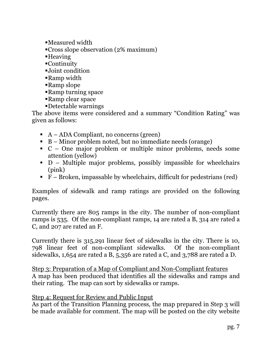- $\blacksquare$ Measured width
- Cross slope observation (2% maximum)
- $H$ eaving
- $\blacksquare$ Continuity
- ßJoint condition
- Ramp width
- **Ramp** slope
- Ramp turning space
- **Ramp clear space**
- ßDetectable warnings

The above items were considered and a summary "Condition Rating" was given as follows:

- $A ADA$  Compliant, no concerns (green)
- $\blacksquare$  B Minor problem noted, but no immediate needs (orange)
- $\bullet$  C One major problem or multiple minor problems, needs some attention (yellow)
- $\blacksquare$  D Multiple major problems, possibly impassible for wheelchairs (pink)
- $\overline{F}$  Broken, impassable by wheelchairs, difficult for pedestrians (red)

Examples of sidewalk and ramp ratings are provided on the following pages.

Currently there are 805 ramps in the city. The number of non-compliant ramps is 535. Of the non-compliant ramps, 14 are rated a B, 314 are rated a C, and 207 are rated an F.

Currently there is 315,291 linear feet of sidewalks in the city. There is 10, 798 linear feet of non-compliant sidewalks. Of the non-compliant sidewalks, 1,654 are rated a B, 5,356 are rated a C, and 3,788 are rated a D.

Step 3: Preparation of a Map of Compliant and Non-Compliant features A map has been produced that identifies all the sidewalks and ramps and their rating. The map can sort by sidewalks or ramps.

#### Step 4: Request for Review and Public Input

As part of the Transition Planning process, the map prepared in Step 3 will be made available for comment. The map will be posted on the city website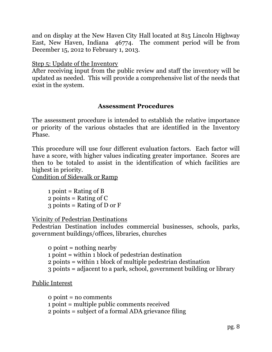and on display at the New Haven City Hall located at 815 Lincoln Highway East, New Haven, Indiana 46774. The comment period will be from December 15, 2012 to February 1, 2013.

Step 5: Update of the Inventory

After receiving input from the public review and staff the inventory will be updated as needed. This will provide a comprehensive list of the needs that exist in the system.

#### **Assessment Procedures**

The assessment procedure is intended to establish the relative importance or priority of the various obstacles that are identified in the Inventory Phase.

This procedure will use four different evaluation factors. Each factor will have a score, with higher values indicating greater importance. Scores are then to be totaled to assist in the identification of which facilities are highest in priority.

Condition of Sidewalk or Ramp

1 point = Rating of B 2 points = Rating of  $C$ 3 points = Rating of D or F

Vicinity of Pedestrian Destinations

Pedestrian Destination includes commercial businesses, schools, parks, government buildings/offices, libraries, churches

0 point = nothing nearby 1 point = within 1 block of pedestrian destination 2 points = within 1 block of multiple pedestrian destination 3 points = adjacent to a park, school, government building or library

Public Interest

0 point = no comments 1 point = multiple public comments received 2 points = subject of a formal ADA grievance filing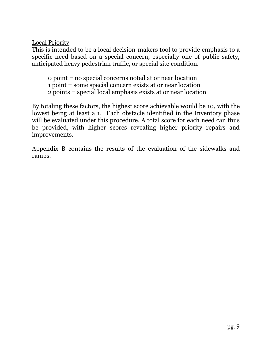# Local Priority

This is intended to be a local decision-makers tool to provide emphasis to a specific need based on a special concern, especially one of public safety, anticipated heavy pedestrian traffic, or special site condition.

0 point = no special concerns noted at or near location 1 point = some special concern exists at or near location 2 points = special local emphasis exists at or near location

By totaling these factors, the highest score achievable would be 10, with the lowest being at least a 1. Each obstacle identified in the Inventory phase will be evaluated under this procedure. A total score for each need can thus be provided, with higher scores revealing higher priority repairs and improvements.

Appendix B contains the results of the evaluation of the sidewalks and ramps.